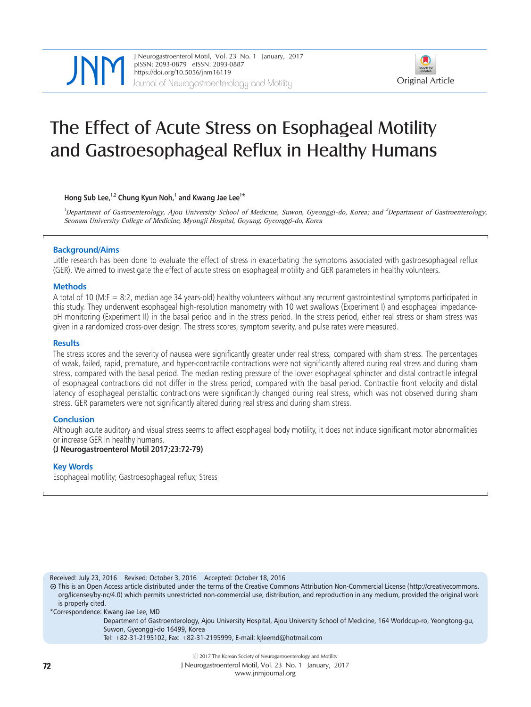



# The Effect of Acute Stress on Esophageal Motility and Gastroesophageal Reflux in Healthy Humans

**Hong Sub Lee,1,2 Chung Kyun Noh,1 and Kwang Jae Lee1\***

<sup>1</sup>Department of Gastroenterology, Ajou University School of Medicine, Suwon, Gyeonggi-do, Korea; and <sup>2</sup>Department of Gastroenterology, Seonam University College of Medicine, Myongji Hospital, Goyang, Gyeonggi-do, Korea

#### **Background/Aims**

Little research has been done to evaluate the effect of stress in exacerbating the symptoms associated with gastroesophageal reflux (GER). We aimed to investigate the effect of acute stress on esophageal motility and GER parameters in healthy volunteers.

#### **Methods**

A total of 10 (M:F = 8:2, median age 34 years-old) healthy volunteers without any recurrent gastrointestinal symptoms participated in this study. They underwent esophageal high-resolution manometry with 10 wet swallows (Experiment I) and esophageal impedancepH monitoring (Experiment II) in the basal period and in the stress period. In the stress period, either real stress or sham stress was given in a randomized cross-over design. The stress scores, symptom severity, and pulse rates were measured.

#### **Results**

The stress scores and the severity of nausea were significantly greater under real stress, compared with sham stress. The percentages of weak, failed, rapid, premature, and hyper-contractile contractions were not significantly altered during real stress and during sham stress, compared with the basal period. The median resting pressure of the lower esophageal sphincter and distal contractile integral of esophageal contractions did not differ in the stress period, compared with the basal period. Contractile front velocity and distal latency of esophageal peristaltic contractions were significantly changed during real stress, which was not observed during sham stress. GER parameters were not significantly altered during real stress and during sham stress.

#### **Conclusion**

Although acute auditory and visual stress seems to affect esophageal body motility, it does not induce significant motor abnormalities or increase GER in healthy humans.

#### **(J Neurogastroenterol Motil 2017;23:72-79)**

#### **Key Words**

Esophageal motility; Gastroesophageal reflux; Stress

Received: July 23, 2016 Revised: October 3, 2016 Accepted: October 18, 2016

This is an Open Access article distributed under the terms of the Creative Commons Attribution Non-Commercial License (http://creativecommons. org/licenses/by-nc/4.0) which permits unrestricted non-commercial use, distribution, and reproduction in any medium, provided the original work is properly cited.

\*Correspondence: Kwang Jae Lee, MD

Department of Gastroenterology, Ajou University Hospital, Ajou University School of Medicine, 164 Worldcup-ro, Yeongtong-gu, Suwon, Gyeonggi-do 16499, Korea

Tel: +82-31-2195102, Fax: +82-31-2195999, E-mail: kjleemd@hotmail.com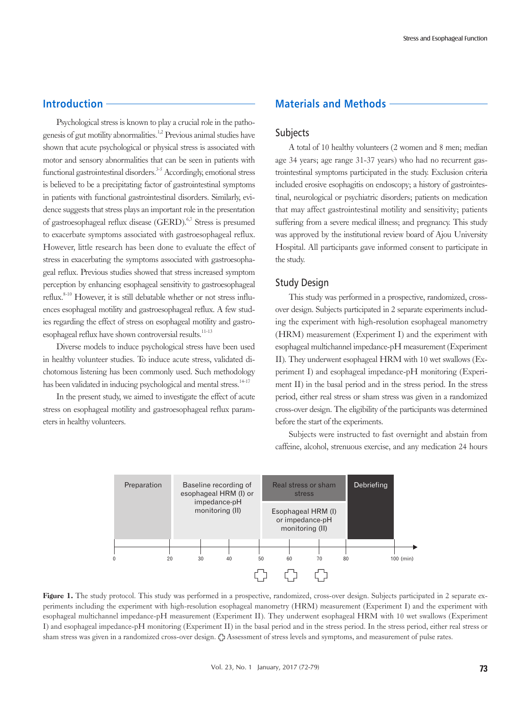## **Introduction**

Psychological stress is known to play a crucial role in the pathogenesis of gut motility abnormalities.<sup>1,2</sup> Previous animal studies have shown that acute psychological or physical stress is associated with motor and sensory abnormalities that can be seen in patients with functional gastrointestinal disorders.<sup>3-5</sup> Accordingly, emotional stress is believed to be a precipitating factor of gastrointestinal symptoms in patients with functional gastrointestinal disorders. Similarly, evidence suggests that stress plays an important role in the presentation of gastroesophageal reflux disease  $(GERD)$ <sup>67</sup> Stress is presumed to exacerbate symptoms associated with gastroesophageal reflux. However, little research has been done to evaluate the effect of stress in exacerbating the symptoms associated with gastroesophageal reflux. Previous studies showed that stress increased symptom perception by enhancing esophageal sensitivity to gastroesophageal reflux.<sup>8-10</sup> However, it is still debatable whether or not stress influences esophageal motility and gastroesophageal reflux. A few studies regarding the effect of stress on esophageal motility and gastroesophageal reflux have shown controversial results.<sup>11-13</sup>

Diverse models to induce psychological stress have been used in healthy volunteer studies. To induce acute stress, validated dichotomous listening has been commonly used. Such methodology has been validated in inducing psychological and mental stress. $14-17$ 

In the present study, we aimed to investigate the effect of acute stress on esophageal motility and gastroesophageal reflux parameters in healthy volunteers.

# **Materials and Methods**

#### Subjects

A total of 10 healthy volunteers (2 women and 8 men; median age 34 years; age range 31-37 years) who had no recurrent gastrointestinal symptoms participated in the study. Exclusion criteria included erosive esophagitis on endoscopy; a history of gastrointestinal, neurological or psychiatric disorders; patients on medication that may affect gastrointestinal motility and sensitivity; patients suffering from a severe medical illness; and pregnancy. This study was approved by the institutional review board of Ajou University Hospital. All participants gave informed consent to participate in the study.

#### Study Design

This study was performed in a prospective, randomized, crossover design. Subjects participated in 2 separate experiments including the experiment with high-resolution esophageal manometry (HRM) measurement (Experiment I) and the experiment with esophageal multichannel impedance-pH measurement (Experiment II). They underwent esophageal HRM with 10 wet swallows (Experiment I) and esophageal impedance-pH monitoring (Experiment II) in the basal period and in the stress period. In the stress period, either real stress or sham stress was given in a randomized cross-over design. The eligibility of the participants was determined before the start of the experiments.

Subjects were instructed to fast overnight and abstain from caffeine, alcohol, strenuous exercise, and any medication 24 hours



Figure 1. The study protocol. This study was performed in a prospective, randomized, cross-over design. Subjects participated in 2 separate experiments including the experiment with high-resolution esophageal manometry (HRM) measurement (Experiment I) and the experiment with esophageal multichannel impedance-pH measurement (Experiment II). They underwent esophageal HRM with 10 wet swallows (Experiment I) and esophageal impedance-pH monitoring (Experiment II) in the basal period and in the stress period. In the stress period, either real stress or sham stress was given in a randomized cross-over design. Assessment of stress levels and symptoms, and measurement of pulse rates.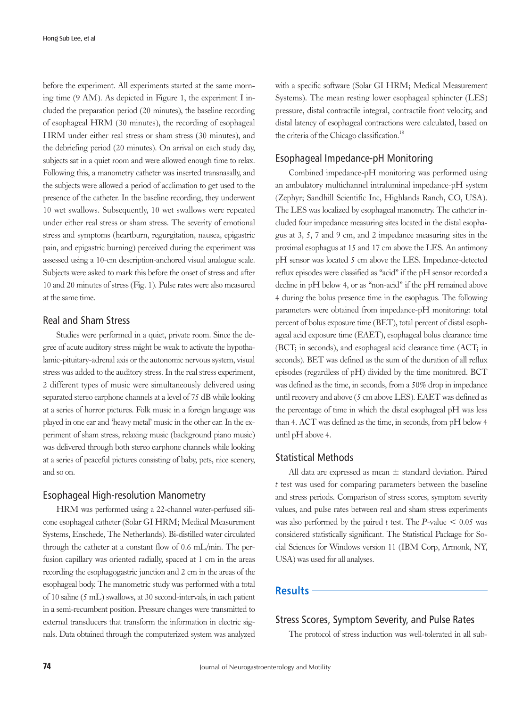before the experiment. All experiments started at the same morning time (9 AM). As depicted in Figure 1, the experiment I included the preparation period (20 minutes), the baseline recording of esophageal HRM (30 minutes), the recording of esophageal HRM under either real stress or sham stress (30 minutes), and the debriefing period (20 minutes). On arrival on each study day, subjects sat in a quiet room and were allowed enough time to relax. Following this, a manometry catheter was inserted transnasally, and the subjects were allowed a period of acclimation to get used to the presence of the catheter. In the baseline recording, they underwent 10 wet swallows. Subsequently, 10 wet swallows were repeated under either real stress or sham stress. The severity of emotional stress and symptoms (heartburn, regurgitation, nausea, epigastric pain, and epigastric burning) perceived during the experiment was assessed using a 10-cm description-anchored visual analogue scale. Subjects were asked to mark this before the onset of stress and after 10 and 20 minutes of stress (Fig. 1). Pulse rates were also measured at the same time.

#### Real and Sham Stress

Studies were performed in a quiet, private room. Since the degree of acute auditory stress might be weak to activate the hypothalamic-pituitary-adrenal axis or the autonomic nervous system, visual stress was added to the auditory stress. In the real stress experiment, 2 different types of music were simultaneously delivered using separated stereo earphone channels at a level of 75 dB while looking at a series of horror pictures. Folk music in a foreign language was played in one ear and 'heavy metal' music in the other ear. In the experiment of sham stress, relaxing music (background piano music) was delivered through both stereo earphone channels while looking at a series of peaceful pictures consisting of baby, pets, nice scenery, and so on.

#### Esophageal High-resolution Manometry

HRM was performed using a 22-channel water-perfused silicone esophageal catheter (Solar GI HRM; Medical Measurement Systems, Enschede, The Netherlands). Bi-distilled water circulated through the catheter at a constant flow of 0.6 mL/min. The perfusion capillary was oriented radially, spaced at 1 cm in the areas recording the esophagogastric junction and 2 cm in the areas of the esophageal body. The manometric study was performed with a total of 10 saline (5 mL) swallows, at 30 second-intervals, in each patient in a semi-recumbent position. Pressure changes were transmitted to external transducers that transform the information in electric signals. Data obtained through the computerized system was analyzed with a specific software (Solar GI HRM; Medical Measurement Systems). The mean resting lower esophageal sphincter (LES) pressure, distal contractile integral, contractile front velocity, and distal latency of esophageal contractions were calculated, based on the criteria of the Chicago classification.<sup>18</sup>

## Esophageal Impedance-pH Monitoring

Combined impedance-pH monitoring was performed using an ambulatory multichannel intraluminal impedance-pH system (Zephyr; Sandhill Scientific Inc, Highlands Ranch, CO, USA). The LES was localized by esophageal manometry. The catheter included four impedance measuring sites located in the distal esophagus at 3, 5, 7 and 9 cm, and 2 impedance measuring sites in the proximal esophagus at 15 and 17 cm above the LES. An antimony pH sensor was located 5 cm above the LES. Impedance-detected reflux episodes were classified as "acid" if the pH sensor recorded a decline in pH below 4, or as "non-acid" if the pH remained above 4 during the bolus presence time in the esophagus. The following parameters were obtained from impedance-pH monitoring: total percent of bolus exposure time (BET), total percent of distal esophageal acid exposure time (EAET), esophageal bolus clearance time (BCT; in seconds), and esophageal acid clearance time (ACT; in seconds). BET was defined as the sum of the duration of all reflux episodes (regardless of pH) divided by the time monitored. BCT was defined as the time, in seconds, from a 50% drop in impedance until recovery and above (5 cm above LES). EAET was defined as the percentage of time in which the distal esophageal pH was less than 4. ACT was defined as the time, in seconds, from pH below 4 until pH above 4.

#### Statistical Methods

All data are expressed as mean ± standard deviation. Paired <sup>t</sup> test was used for comparing parameters between the baseline and stress periods. Comparison of stress scores, symptom severity values, and pulse rates between real and sham stress experiments was also performed by the paired t test. The  $P$ -value  $\leq 0.05$  was considered statistically significant. The Statistical Package for Social Sciences for Windows version 11 (IBM Corp, Armonk, NY, USA) was used for all analyses.

#### **Results**

#### Stress Scores, Symptom Severity, and Pulse Rates

The protocol of stress induction was well-tolerated in all sub-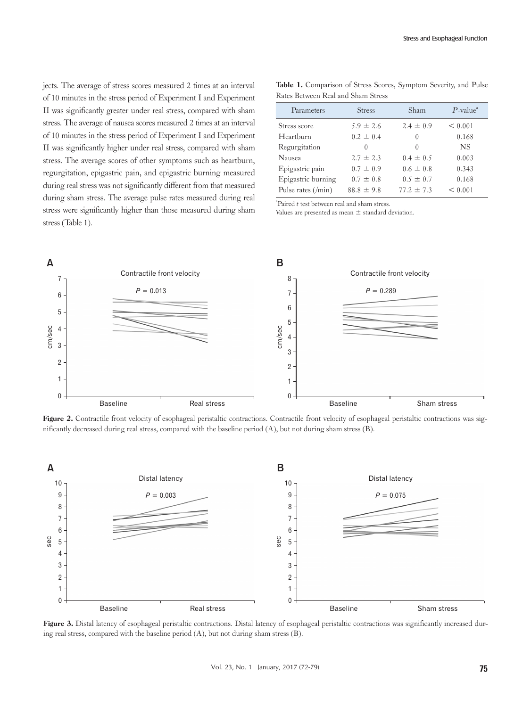jects. The average of stress scores measured 2 times at an interval of 10 minutes in the stress period of Experiment I and Experiment II was significantly greater under real stress, compared with sham stress. The average of nausea scores measured 2 times at an interval of 10 minutes in the stress period of Experiment I and Experiment II was significantly higher under real stress, compared with sham stress. The average scores of other symptoms such as heartburn, regurgitation, epigastric pain, and epigastric burning measured during real stress was not significantly different from that measured during sham stress. The average pulse rates measured during real stress were significantly higher than those measured during sham stress (Table 1).

Table 1. Comparison of Stress Scores, Symptom Severity, and Pulse Rates Between Real and Sham Stress

| Parameters         | <b>Stress</b>    | Sham           | $P$ -value <sup><math>a</math></sup> |
|--------------------|------------------|----------------|--------------------------------------|
| Stress score       | $5.9 \pm 2.6$    | $2.4 \pm 0.9$  | < 0.001                              |
| Heartburn          | $0.2 \pm 0.4$    | 0              | 0.168                                |
| Regurgitation      | $\left( \right)$ | 0              | <b>NS</b>                            |
| <b>Nausea</b>      | $2.7 \pm 2.3$    | $0.4 \pm 0.5$  | 0.003                                |
| Epigastric pain    | $0.7 \pm 0.9$    | $0.6 \pm 0.8$  | 0.343                                |
| Epigastric burning | $0.7 \pm 0.8$    | $0.5 \pm 0.7$  | 0.168                                |
| Pulse rates (/min) | $88.8 \pm 9.8$   | $77.2 \pm 7.3$ | < 0.001                              |

a Paired t test between real and sham stress.

Values are presented as mean  $\pm$  standard deviation.



Figure 2. Contractile front velocity of esophageal peristaltic contractions. Contractile front velocity of esophageal peristaltic contractions was significantly decreased during real stress, compared with the baseline period (A), but not during sham stress (B).



Figure 3. Distal latency of esophageal peristaltic contractions. Distal latency of esophageal peristaltic contractions was significantly increased during real stress, compared with the baseline period (A), but not during sham stress (B).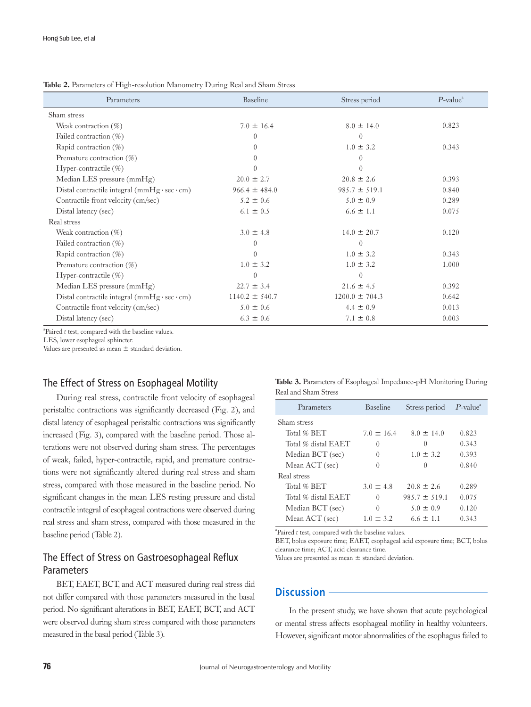Table 2. Parameters of High-resolution Manometry During Real and Sham Stress

| Parameters                                               | Baseline           | Stress period      | $P$ -value <sup><math>a</math></sup> |
|----------------------------------------------------------|--------------------|--------------------|--------------------------------------|
| Sham stress                                              |                    |                    |                                      |
| Weak contraction $(\%)$                                  | $7.0 \pm 16.4$     | $8.0 \pm 14.0$     | 0.823                                |
| Failed contraction (%)                                   | $\theta$           | $\theta$           |                                      |
| Rapid contraction (%)                                    | $\theta$           | $1.0 \pm 3.2$      | 0.343                                |
| Premature contraction $(\%)$                             | $\Omega$           | $\theta$           |                                      |
| Hyper-contractile $(\%)$                                 | $\theta$           | $\theta$           |                                      |
| Median LES pressure (mmHg)                               | $20.0 \pm 2.7$     | $20.8 \pm 2.6$     | 0.393                                |
| Distal contractile integral $(mmHg \cdot \sec \cdot cm)$ | $966.4 \pm 484.0$  | $985.7 \pm 519.1$  | 0.840                                |
| Contractile front velocity (cm/sec)                      | $5.2 \pm 0.6$      | $5.0 \pm 0.9$      | 0.289                                |
| Distal latency (sec)                                     | $6.1 \pm 0.5$      | $6.6 \pm 1.1$      | 0.075                                |
| Real stress                                              |                    |                    |                                      |
| Weak contraction $(\%)$                                  | $3.0 \pm 4.8$      | $14.0 \pm 20.7$    | 0.120                                |
| Failed contraction (%)                                   | $\theta$           | $\theta$           |                                      |
| Rapid contraction (%)                                    | $\theta$           | $1.0 \pm 3.2$      | 0.343                                |
| Premature contraction $(\%)$                             | $1.0 \pm 3.2$      | $1.0 \pm 3.2$      | 1.000                                |
| Hyper-contractile $(\%)$                                 | $\theta$           | $\theta$           |                                      |
| Median LES pressure (mmHg)                               | $22.7 \pm 3.4$     | $21.6 \pm 4.5$     | 0.392                                |
| Distal contractile integral $(mmHg \cdot \sec \cdot cm)$ | $1140.2 \pm 540.7$ | $1200.0 \pm 704.3$ | 0.642                                |
| Contractile front velocity (cm/sec)                      | $5.0 \pm 0.6$      | $4.4 \pm 0.9$      | 0.013                                |
| Distal latency (sec)                                     | $6.3 \pm 0.6$      | $7.1 \pm 0.8$      | 0.003                                |

<sup>a</sup>Paired t test, compared with the baseline values.

LES, lower esophageal sphincter.

Values are presented as mean  $\pm$  standard deviation.

## The Effect of Stress on Esophageal Motility

During real stress, contractile front velocity of esophageal peristaltic contractions was significantly decreased (Fig. 2), and distal latency of esophageal peristaltic contractions was significantly increased (Fig. 3), compared with the baseline period. Those alterations were not observed during sham stress. The percentages of weak, failed, hyper-contractile, rapid, and premature contractions were not significantly altered during real stress and sham stress, compared with those measured in the baseline period. No significant changes in the mean LES resting pressure and distal contractile integral of esophageal contractions were observed during real stress and sham stress, compared with those measured in the baseline period (Table 2).

# The Effect of Stress on Gastroesophageal Reflux Parameters

BET, EAET, BCT, and ACT measured during real stress did not differ compared with those parameters measured in the basal period. No significant alterations in BET, EAET, BCT, and ACT were observed during sham stress compared with those parameters measured in the basal period (Table 3).

Table 3. Parameters of Esophageal Impedance-pH Monitoring During Real and Sham Stress

| Parameters          | <b>Baseline</b>  | Stress period P-value <sup>a</sup> |       |
|---------------------|------------------|------------------------------------|-------|
| Sham stress         |                  |                                    |       |
| Total % BET         | $7.0 \pm 16.4$   | $8.0 \pm 14.0$                     | 0.823 |
| Total % distal EAET | $\left( \right)$ | $\theta$                           | 0.343 |
| Median BCT (sec)    | $\theta$         | $1.0 \pm 3.2$                      | 0.393 |
| Mean ACT (sec)      | $\left( \right)$ | 0                                  | 0.840 |
| Real stress         |                  |                                    |       |
| Total % BET         | $3.0 \pm 4.8$    | $20.8 \pm 2.6$                     | 0.289 |
| Total % distal EAET | $\Omega$         | $985.7 \pm 519.1$                  | 0.075 |
| Median BCT (sec)    | $\theta$         | $5.0 \pm 0.9$                      | 0.120 |
| Mean ACT (sec)      | $1.0 \pm 3.2$    | $6.6 \pm 1.1$                      | 0.343 |

<sup>a</sup>Paired t test, compared with the baseline values.

BET, bolus exposure time; EAET, esophageal acid exposure time; BCT, bolus clearance time; ACT, acid clearance time.

Values are presented as mean  $\pm$  standard deviation.

# **Discussion**

In the present study, we have shown that acute psychological or mental stress affects esophageal motility in healthy volunteers. However, significant motor abnormalities of the esophagus failed to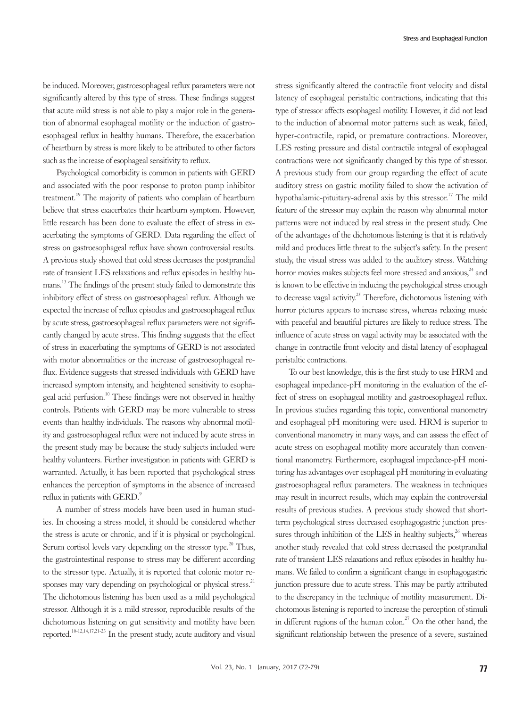be induced. Moreover, gastroesophageal reflux parameters were not significantly altered by this type of stress. These findings suggest that acute mild stress is not able to play a major role in the generation of abnormal esophageal motility or the induction of gastroesophageal reflux in healthy humans. Therefore, the exacerbation of heartburn by stress is more likely to be attributed to other factors such as the increase of esophageal sensitivity to reflux.

Psychological comorbidity is common in patients with GERD and associated with the poor response to proton pump inhibitor treatment.<sup>19</sup> The majority of patients who complain of heartburn believe that stress exacerbates their heartburn symptom. However, little research has been done to evaluate the effect of stress in exacerbating the symptoms of GERD. Data regarding the effect of stress on gastroesophageal reflux have shown controversial results. A previous study showed that cold stress decreases the postprandial rate of transient LES relaxations and reflux episodes in healthy humans.13 The findings of the present study failed to demonstrate this inhibitory effect of stress on gastroesophageal reflux. Although we expected the increase of reflux episodes and gastroesophageal reflux by acute stress, gastroesophageal reflux parameters were not significantly changed by acute stress. This finding suggests that the effect of stress in exacerbating the symptoms of GERD is not associated with motor abnormalities or the increase of gastroesophageal reflux. Evidence suggests that stressed individuals with GERD have increased symptom intensity, and heightened sensitivity to esophageal acid perfusion.<sup>10</sup> These findings were not observed in healthy controls. Patients with GERD may be more vulnerable to stress events than healthy individuals. The reasons why abnormal motility and gastroesophageal reflux were not induced by acute stress in the present study may be because the study subjects included were healthy volunteers. Further investigation in patients with GERD is warranted. Actually, it has been reported that psychological stress enhances the perception of symptoms in the absence of increased reflux in patients with GERD.<sup>9</sup>

A number of stress models have been used in human studies. In choosing a stress model, it should be considered whether the stress is acute or chronic, and if it is physical or psychological. Serum cortisol levels vary depending on the stressor type. $^{20}$  Thus, the gastrointestinal response to stress may be different according to the stressor type. Actually, it is reported that colonic motor responses may vary depending on psychological or physical stress.<sup>21</sup> The dichotomous listening has been used as a mild psychological stressor. Although it is a mild stressor, reproducible results of the dichotomous listening on gut sensitivity and motility have been reported.10-12,14,17,21-23 In the present study, acute auditory and visual

stress significantly altered the contractile front velocity and distal latency of esophageal peristaltic contractions, indicating that this type of stressor affects esophageal motility. However, it did not lead to the induction of abnormal motor patterns such as weak, failed, hyper-contractile, rapid, or premature contractions. Moreover, LES resting pressure and distal contractile integral of esophageal contractions were not significantly changed by this type of stressor. A previous study from our group regarding the effect of acute auditory stress on gastric motility failed to show the activation of hypothalamic-pituitary-adrenal axis by this stressor.<sup>17</sup> The mild feature of the stressor may explain the reason why abnormal motor patterns were not induced by real stress in the present study. One of the advantages of the dichotomous listening is that it is relatively mild and produces little threat to the subject's safety. In the present study, the visual stress was added to the auditory stress. Watching horror movies makes subjects feel more stressed and anxious.<sup>24</sup> and is known to be effective in inducing the psychological stress enough to decrease vagal activity.<sup>25</sup> Therefore, dichotomous listening with horror pictures appears to increase stress, whereas relaxing music with peaceful and beautiful pictures are likely to reduce stress. The influence of acute stress on vagal activity may be associated with the change in contractile front velocity and distal latency of esophageal peristaltic contractions.

To our best knowledge, this is the first study to use HRM and esophageal impedance-pH monitoring in the evaluation of the effect of stress on esophageal motility and gastroesophageal reflux. In previous studies regarding this topic, conventional manometry and esophageal pH monitoring were used. HRM is superior to conventional manometry in many ways, and can assess the effect of acute stress on esophageal motility more accurately than conventional manometry. Furthermore, esophageal impedance-pH monitoring has advantages over esophageal pH monitoring in evaluating gastroesophageal reflux parameters. The weakness in techniques may result in incorrect results, which may explain the controversial results of previous studies. A previous study showed that shortterm psychological stress decreased esophagogastric junction pressures through inhibition of the LES in healthy subjects, $26$  whereas another study revealed that cold stress decreased the postprandial rate of transient LES relaxations and reflux episodes in healthy humans. We failed to confirm a significant change in esophagogastric junction pressure due to acute stress. This may be partly attributed to the discrepancy in the technique of motility measurement. Dichotomous listening is reported to increase the perception of stimuli in different regions of the human colon.<sup>27</sup> On the other hand, the significant relationship between the presence of a severe, sustained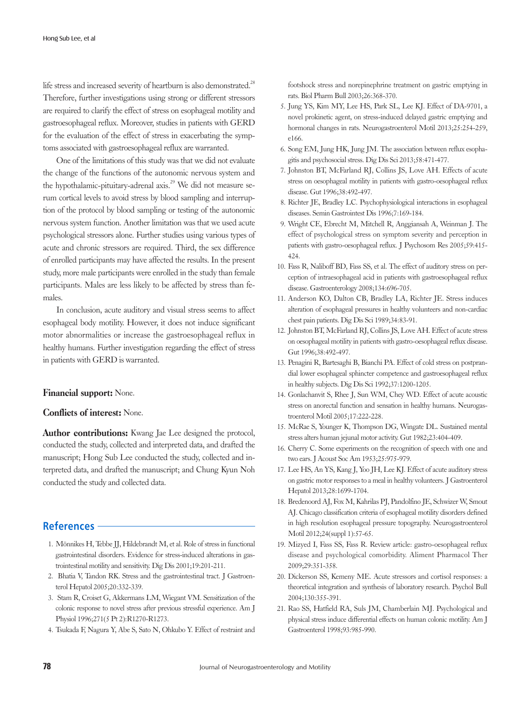life stress and increased severity of heartburn is also demonstrated.<sup>28</sup> Therefore, further investigations using strong or different stressors are required to clarify the effect of stress on esophageal motility and gastroesophageal reflux. Moreover, studies in patients with GERD for the evaluation of the effect of stress in exacerbating the symptoms associated with gastroesophageal reflux are warranted.

One of the limitations of this study was that we did not evaluate the change of the functions of the autonomic nervous system and the hypothalamic-pituitary-adrenal axis.<sup>29</sup> We did not measure serum cortical levels to avoid stress by blood sampling and interruption of the protocol by blood sampling or testing of the autonomic nervous system function. Another limitation was that we used acute psychological stressors alone. Further studies using various types of acute and chronic stressors are required. Third, the sex difference of enrolled participants may have affected the results. In the present study, more male participants were enrolled in the study than female participants. Males are less likely to be affected by stress than females.

In conclusion, acute auditory and visual stress seems to affect esophageal body motility. However, it does not induce significant motor abnormalities or increase the gastroesophageal reflux in healthy humans. Further investigation regarding the effect of stress in patients with GERD is warranted.

#### Financial support: None.

#### Conflicts of interest: None.

Author contributions: Kwang Jae Lee designed the protocol, conducted the study, collected and interpreted data, and drafted the manuscript; Hong Sub Lee conducted the study, collected and interpreted data, and drafted the manuscript; and Chung Kyun Noh conducted the study and collected data.

# **References**

- 1. Mönnikes H, Tebbe JJ, Hildebrandt M, et al. Role of stress in functional gastrointestinal disorders. Evidence for stress-induced alterations in gastrointestinal motility and sensitivity. Dig Dis 2001;19:201-211.
- 2. Bhatia V, Tandon RK. Stress and the gastrointestinal tract. J Gastroenterol Hepatol 2005;20:332-339.
- 3. Stam R, Croiset G, Akkermans LM, Wiegant VM. Sensitization of the colonic response to novel stress after previous stressful experience. Am J Physiol 1996;271(5 Pt 2):R1270-R1273.
- 4. Tsukada F, Nagura Y, Abe S, Sato N, Ohkubo Y. Effect of restraint and

footshock stress and norepinephrine treatment on gastric emptying in rats. Biol Pharm Bull 2003;26:368-370.

- 5. Jung YS, Kim MY, Lee HS, Park SL, Lee KJ. Effect of DA-9701, a novel prokinetic agent, on stress-induced delayed gastric emptying and hormonal changes in rats. Neurogastroenterol Motil 2013;25:254-259, e166.
- 6. Song EM, Jung HK, Jung JM. The association between reflux esophagitis and psychosocial stress. Dig Dis Sci 2013;58:471-477.
- 7. Johnston BT, McFarland RJ, Collins JS, Love AH. Effects of acute stress on oesophageal motility in patients with gastro-oesophageal reflux disease. Gut 1996;38:492-497.
- 8. Richter JE, Bradley LC. Psychophysiological interactions in esophageal diseases. Semin Gastrointest Dis 1996;7:169-184.
- 9. Wright CE, Ebrecht M, Mitchell R, Anggiansah A, Weinman J. The effect of psychological stress on symptom severity and perception in patients with gastro-oesophageal reflux. J Psychosom Res 2005;59:415- 424.
- 10. Fass R, Naliboff BD, Fass SS, et al. The effect of auditory stress on perception of intraesophageal acid in patients with gastroesophageal reflux disease. Gastroenterology 2008;134:696-705.
- 11. Anderson KO, Dalton CB, Bradley LA, Richter JE. Stress induces alteration of esophageal pressures in healthy volunteers and non-cardiac chest pain patients. Dig Dis Sci 1989;34:83-91.
- 12. Johnston BT, McFarland RJ, Collins JS, Love AH. Effect of acute stress on oesophageal motility in patients with gastro-oesophageal reflux disease. Gut 1996;38:492-497.
- 13. Penagini R, Bartesaghi B, Bianchi PA. Effect of cold stress on postprandial lower esophageal sphincter competence and gastroesophageal reflux in healthy subjects. Dig Dis Sci 1992;37:1200-1205.
- 14. Gonlachanvit S, Rhee J, Sun WM, Chey WD. Effect of acute acoustic stress on anorectal function and sensation in healthy humans. Neurogastroenterol Motil 2005;17:222-228.
- 15. McRae S, Younger K, Thompson DG, Wingate DL. Sustained mental stress alters human jejunal motor activity. Gut 1982;23:404-409.
- 16. Cherry C. Some experiments on the recognition of speech with one and two ears. J Acoust Soc Am 1953;25:975-979.
- 17. Lee HS, An YS, Kang J, Yoo JH, Lee KJ. Effect of acute auditory stress on gastric motor responses to a meal in healthy volunteers. J Gastroenterol Hepatol 2013;28:1699-1704.
- 18. Bredenoord AJ, Fox M, Kahrilas PJ, Pandolfino JE, Schwizer W, Smout AJ. Chicago classification criteria of esophageal motility disorders defined in high resolution esophageal pressure topography. Neurogastroenterol Motil 2012;24(suppl 1):57-65.
- 19. Mizyed I, Fass SS, Fass R. Review article: gastro-oesophageal reflux disease and psychological comorbidity. Aliment Pharmacol Ther 2009;29:351-358.
- 20. Dickerson SS, Kemeny ME. Acute stressors and cortisol responses: a theoretical integration and synthesis of laboratory research. Psychol Bull 2004;130:355-391.
- 21. Rao SS, Hatfield RA, Suls JM, Chamberlain MJ. Psychological and physical stress induce differential effects on human colonic motility. Am J Gastroenterol 1998;93:985-990.